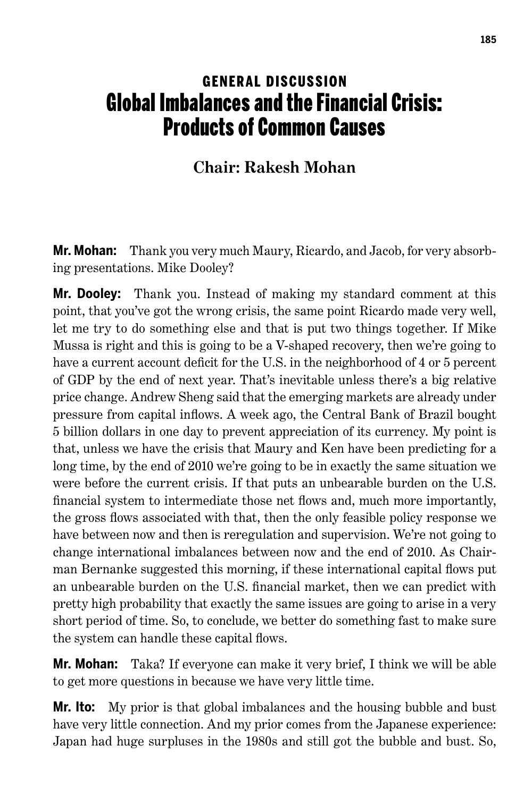## **GENERAL DISCUSSION** Global Imbalances and the Financial Crisis: Products of Common Causes

## **Chair: Rakesh Mohan**

**Mr. Mohan:** Thank you very much Maury, Ricardo, and Jacob, for very absorbing presentations. Mike Dooley?

**Mr. Dooley:** Thank you. Instead of making my standard comment at this point, that you've got the wrong crisis, the same point Ricardo made very well, let me try to do something else and that is put two things together. If Mike Mussa is right and this is going to be a V-shaped recovery, then we're going to have a current account deficit for the U.S. in the neighborhood of 4 or 5 percent of GDP by the end of next year. That's inevitable unless there's a big relative price change. Andrew Sheng said that the emerging markets are already under pressure from capital inflows. A week ago, the Central Bank of Brazil bought 5 billion dollars in one day to prevent appreciation of its currency. My point is that, unless we have the crisis that Maury and Ken have been predicting for a long time, by the end of 2010 we're going to be in exactly the same situation we were before the current crisis. If that puts an unbearable burden on the U.S. financial system to intermediate those net flows and, much more importantly, the gross flows associated with that, then the only feasible policy response we have between now and then is reregulation and supervision. We're not going to change international imbalances between now and the end of 2010. As Chairman Bernanke suggested this morning, if these international capital flows put an unbearable burden on the U.S. financial market, then we can predict with pretty high probability that exactly the same issues are going to arise in a very short period of time. So, to conclude, we better do something fast to make sure the system can handle these capital flows.

**Mr. Mohan:** Taka? If everyone can make it very brief, I think we will be able to get more questions in because we have very little time.

**Mr. Ito:** My prior is that global imbalances and the housing bubble and bust have very little connection. And my prior comes from the Japanese experience: Japan had huge surpluses in the 1980s and still got the bubble and bust. So,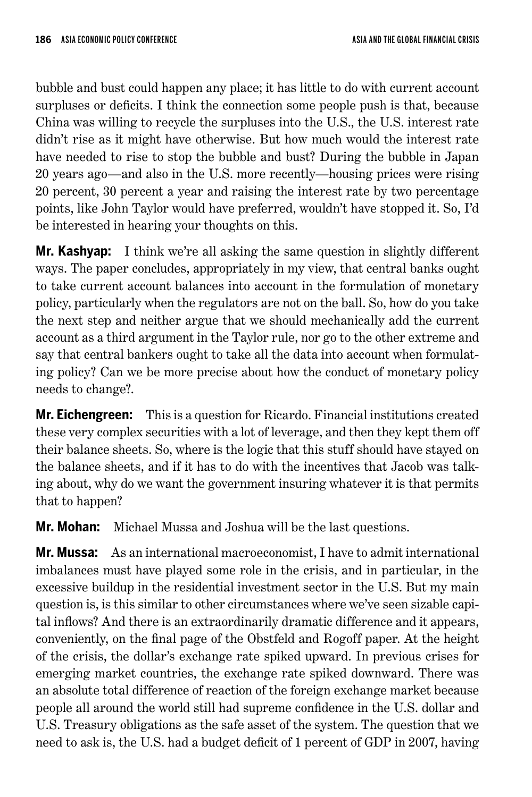bubble and bust could happen any place; it has little to do with current account surpluses or deficits. I think the connection some people push is that, because China was willing to recycle the surpluses into the U.S., the U.S. interest rate didn't rise as it might have otherwise. But how much would the interest rate have needed to rise to stop the bubble and bust? During the bubble in Japan 20 years ago—and also in the U.S. more recently—housing prices were rising 20 percent, 30 percent a year and raising the interest rate by two percentage points, like John Taylor would have preferred, wouldn't have stopped it. So, I'd be interested in hearing your thoughts on this.

**Mr. Kashyap:** I think we're all asking the same question in slightly different ways. The paper concludes, appropriately in my view, that central banks ought to take current account balances into account in the formulation of monetary policy, particularly when the regulators are not on the ball. So, how do you take the next step and neither argue that we should mechanically add the current account as a third argument in the Taylor rule, nor go to the other extreme and say that central bankers ought to take all the data into account when formulating policy? Can we be more precise about how the conduct of monetary policy needs to change?.

**Mr. Eichengreen:** This is a question for Ricardo. Financial institutions created these very complex securities with a lot of leverage, and then they kept them off their balance sheets. So, where is the logic that this stuff should have stayed on the balance sheets, and if it has to do with the incentives that Jacob was talking about, why do we want the government insuring whatever it is that permits that to happen?

**Mr. Mohan:** Michael Mussa and Joshua will be the last questions.

**Mr. Mussa:** As an international macroeconomist, I have to admit international imbalances must have played some role in the crisis, and in particular, in the excessive buildup in the residential investment sector in the U.S. But my main question is, is this similar to other circumstances where we've seen sizable capital inflows? And there is an extraordinarily dramatic difference and it appears, conveniently, on the final page of the Obstfeld and Rogoff paper. At the height of the crisis, the dollar's exchange rate spiked upward. In previous crises for emerging market countries, the exchange rate spiked downward. There was an absolute total difference of reaction of the foreign exchange market because people all around the world still had supreme confidence in the U.S. dollar and U.S. Treasury obligations as the safe asset of the system. The question that we need to ask is, the U.S. had a budget deficit of 1 percent of GDP in 2007, having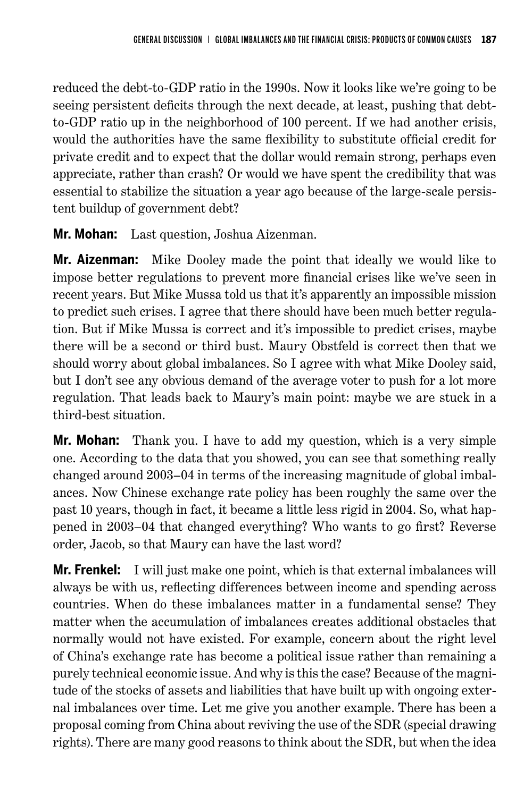reduced the debt-to-GDP ratio in the 1990s. Now it looks like we're going to be seeing persistent deficits through the next decade, at least, pushing that debtto-GDP ratio up in the neighborhood of 100 percent. If we had another crisis, would the authorities have the same flexibility to substitute official credit for private credit and to expect that the dollar would remain strong, perhaps even appreciate, rather than crash? Or would we have spent the credibility that was essential to stabilize the situation a year ago because of the large-scale persistent buildup of government debt?

**Mr. Mohan:** Last question, Joshua Aizenman.

**Mr. Aizenman:** Mike Dooley made the point that ideally we would like to impose better regulations to prevent more financial crises like we've seen in recent years. But Mike Mussa told us that it's apparently an impossible mission to predict such crises. I agree that there should have been much better regulation. But if Mike Mussa is correct and it's impossible to predict crises, maybe there will be a second or third bust. Maury Obstfeld is correct then that we should worry about global imbalances. So I agree with what Mike Dooley said, but I don't see any obvious demand of the average voter to push for a lot more regulation. That leads back to Maury's main point: maybe we are stuck in a third-best situation.

**Mr. Mohan:** Thank you. I have to add my question, which is a very simple one. According to the data that you showed, you can see that something really changed around 2003–04 in terms of the increasing magnitude of global imbalances. Now Chinese exchange rate policy has been roughly the same over the past 10 years, though in fact, it became a little less rigid in 2004. So, what happened in 2003–04 that changed everything? Who wants to go first? Reverse order, Jacob, so that Maury can have the last word?

**Mr. Frenkel:** I will just make one point, which is that external imbalances will always be with us, reflecting differences between income and spending across countries. When do these imbalances matter in a fundamental sense? They matter when the accumulation of imbalances creates additional obstacles that normally would not have existed. For example, concern about the right level of China's exchange rate has become a political issue rather than remaining a purely technical economic issue. And why is this the case? Because of the magnitude of the stocks of assets and liabilities that have built up with ongoing external imbalances over time. Let me give you another example. There has been a proposal coming from China about reviving the use of the SDR (special drawing rights). There are many good reasons to think about the SDR, but when the idea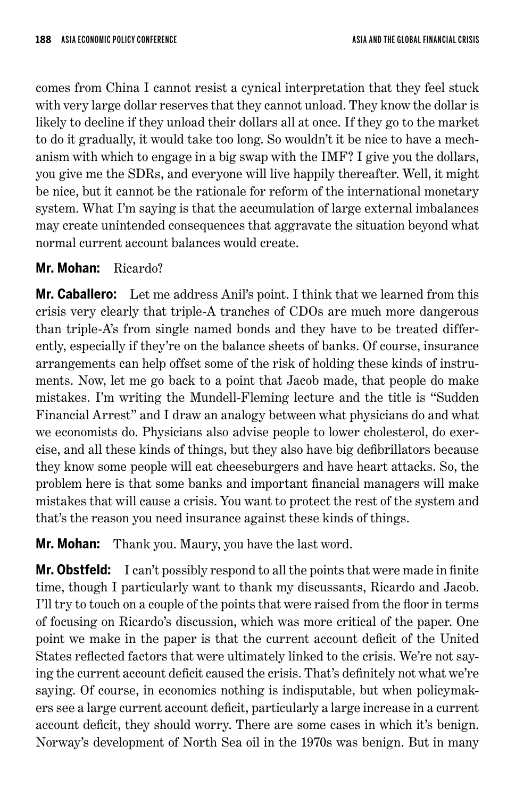comes from China I cannot resist a cynical interpretation that they feel stuck with very large dollar reserves that they cannot unload. They know the dollar is likely to decline if they unload their dollars all at once. If they go to the market to do it gradually, it would take too long. So wouldn't it be nice to have a mechanism with which to engage in a big swap with the IMF? I give you the dollars, you give me the SDRs, and everyone will live happily thereafter. Well, it might be nice, but it cannot be the rationale for reform of the international monetary system. What I'm saying is that the accumulation of large external imbalances may create unintended consequences that aggravate the situation beyond what normal current account balances would create.

## **Mr. Mohan:** Ricardo?

**Mr. Caballero:** Let me address Anil's point. I think that we learned from this crisis very clearly that triple-A tranches of CDOs are much more dangerous than triple-A's from single named bonds and they have to be treated differently, especially if they're on the balance sheets of banks. Of course, insurance arrangements can help offset some of the risk of holding these kinds of instruments. Now, let me go back to a point that Jacob made, that people do make mistakes. I'm writing the Mundell-Fleming lecture and the title is "Sudden Financial Arrest" and I draw an analogy between what physicians do and what we economists do. Physicians also advise people to lower cholesterol, do exercise, and all these kinds of things, but they also have big defibrillators because they know some people will eat cheeseburgers and have heart attacks. So, the problem here is that some banks and important financial managers will make mistakes that will cause a crisis. You want to protect the rest of the system and that's the reason you need insurance against these kinds of things.

**Mr. Mohan:** Thank you. Maury, you have the last word.

**Mr. Obstfeld:** I can't possibly respond to all the points that were made in finite time, though I particularly want to thank my discussants, Ricardo and Jacob. I'll try to touch on a couple of the points that were raised from the floor in terms of focusing on Ricardo's discussion, which was more critical of the paper. One point we make in the paper is that the current account deficit of the United States reflected factors that were ultimately linked to the crisis. We're not saying the current account deficit caused the crisis. That's definitely not what we're saying. Of course, in economics nothing is indisputable, but when policymakers see a large current account deficit, particularly a large increase in a current account deficit, they should worry. There are some cases in which it's benign. Norway's development of North Sea oil in the 1970s was benign. But in many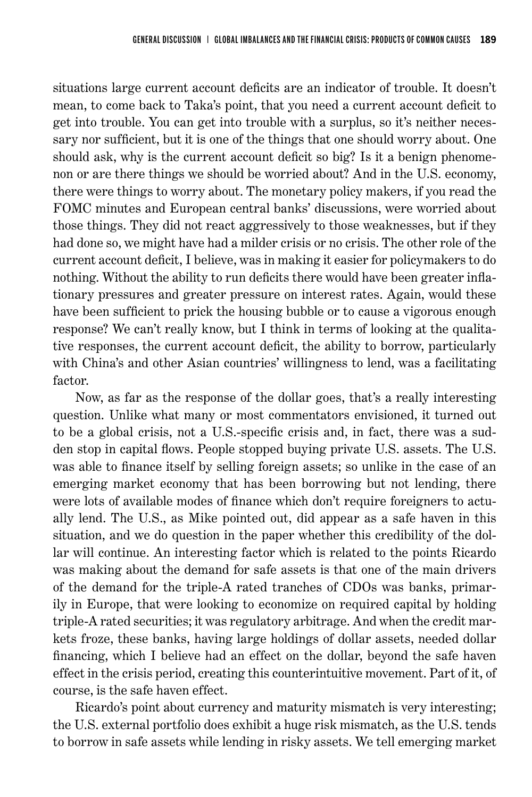situations large current account deficits are an indicator of trouble. It doesn't mean, to come back to Taka's point, that you need a current account deficit to get into trouble. You can get into trouble with a surplus, so it's neither necessary nor sufficient, but it is one of the things that one should worry about. One should ask, why is the current account deficit so big? Is it a benign phenomenon or are there things we should be worried about? And in the U.S. economy, there were things to worry about. The monetary policy makers, if you read the FOMC minutes and European central banks' discussions, were worried about those things. They did not react aggressively to those weaknesses, but if they had done so, we might have had a milder crisis or no crisis. The other role of the current account deficit, I believe, was in making it easier for policymakers to do nothing. Without the ability to run deficits there would have been greater inflationary pressures and greater pressure on interest rates. Again, would these have been sufficient to prick the housing bubble or to cause a vigorous enough response? We can't really know, but I think in terms of looking at the qualitative responses, the current account deficit, the ability to borrow, particularly with China's and other Asian countries' willingness to lend, was a facilitating factor.

Now, as far as the response of the dollar goes, that's a really interesting question. Unlike what many or most commentators envisioned, it turned out to be a global crisis, not a U.S.-specific crisis and, in fact, there was a sudden stop in capital flows. People stopped buying private U.S. assets. The U.S. was able to finance itself by selling foreign assets; so unlike in the case of an emerging market economy that has been borrowing but not lending, there were lots of available modes of finance which don't require foreigners to actually lend. The U.S., as Mike pointed out, did appear as a safe haven in this situation, and we do question in the paper whether this credibility of the dollar will continue. An interesting factor which is related to the points Ricardo was making about the demand for safe assets is that one of the main drivers of the demand for the triple-A rated tranches of CDOs was banks, primarily in Europe, that were looking to economize on required capital by holding triple-A rated securities; it was regulatory arbitrage. And when the credit markets froze, these banks, having large holdings of dollar assets, needed dollar financing, which I believe had an effect on the dollar, beyond the safe haven effect in the crisis period, creating this counterintuitive movement. Part of it, of course, is the safe haven effect.

Ricardo's point about currency and maturity mismatch is very interesting; the U.S. external portfolio does exhibit a huge risk mismatch, as the U.S. tends to borrow in safe assets while lending in risky assets. We tell emerging market